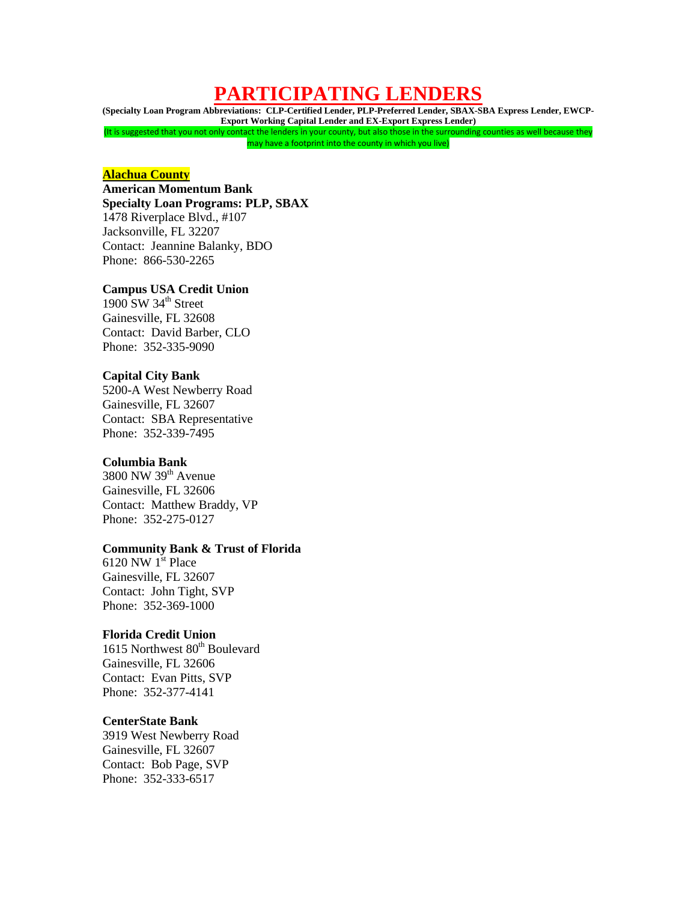# **PARTICIPATING LENDERS**

**(Specialty Loan Program Abbreviations: CLP-Certified Lender, PLP-Preferred Lender, SBAX-SBA Express Lender, EWCP-Export Working Capital Lender and EX-Export Express Lender)** (It is suggested that you not only contact the lenders in your county, but also those in the surrounding counties as well because they may have a footprint into the county in which you live)

### **Alachua County**

# **American Momentum Bank Specialty Loan Programs: PLP, SBAX** 1478 Riverplace Blvd., #107 Jacksonville, FL 32207 Contact: Jeannine Balanky, BDO

Phone: 866-530-2265

# **Campus USA Credit Union**

1900 SW  $34<sup>th</sup>$  Street Gainesville, FL 32608 Contact: David Barber, CLO Phone: 352-335-9090

### **Capital City Bank**

5200-A West Newberry Road Gainesville, FL 32607 Contact: SBA Representative Phone: 352-339-7495

## **Columbia Bank**

3800 NW 39th Avenue Gainesville, FL 32606 Contact: Matthew Braddy, VP Phone: 352-275-0127

# **Community Bank & Trust of Florida**

6120 NW  $1<sup>st</sup>$  Place Gainesville, FL 32607 Contact: John Tight, SVP Phone: 352-369-1000

# **Florida Credit Union**

1615 Northwest 80<sup>th</sup> Boulevard Gainesville, FL 32606 Contact: Evan Pitts, SVP Phone: 352-377-4141

### **CenterState Bank**

3919 West Newberry Road Gainesville, FL 32607 Contact: Bob Page, SVP Phone: 352-333-6517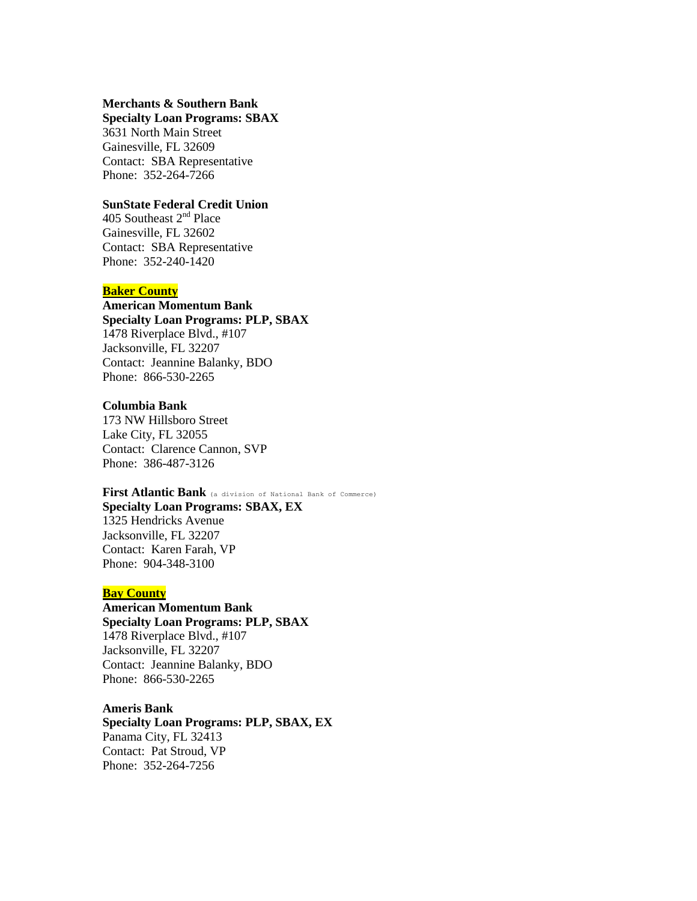### **Merchants & Southern Bank Specialty Loan Programs: SBAX**

3631 North Main Street Gainesville, FL 32609 Contact: SBA Representative

Phone: 352-264-7266

## **SunState Federal Credit Union**

405 Southeast 2nd Place Gainesville, FL 32602 Contact: SBA Representative Phone: 352-240-1420

### **Baker County**

**American Momentum Bank Specialty Loan Programs: PLP, SBAX** 1478 Riverplace Blvd., #107 Jacksonville, FL 32207 Contact: Jeannine Balanky, BDO Phone: 866-530-2265

# **Columbia Bank**

173 NW Hillsboro Street Lake City, FL 32055 Contact: Clarence Cannon, SVP Phone: 386-487-3126

# **First Atlantic Bank** (a division of National Bank of Commerce)

**Specialty Loan Programs: SBAX, EX** 1325 Hendricks Avenue Jacksonville, FL 32207 Contact: Karen Farah, VP Phone: 904-348-3100

# **Bay County**

**American Momentum Bank Specialty Loan Programs: PLP, SBAX** 1478 Riverplace Blvd., #107 Jacksonville, FL 32207 Contact: Jeannine Balanky, BDO Phone: 866-530-2265

**Ameris Bank Specialty Loan Programs: PLP, SBAX, EX** Panama City, FL 32413 Contact: Pat Stroud, VP Phone: 352-264-7256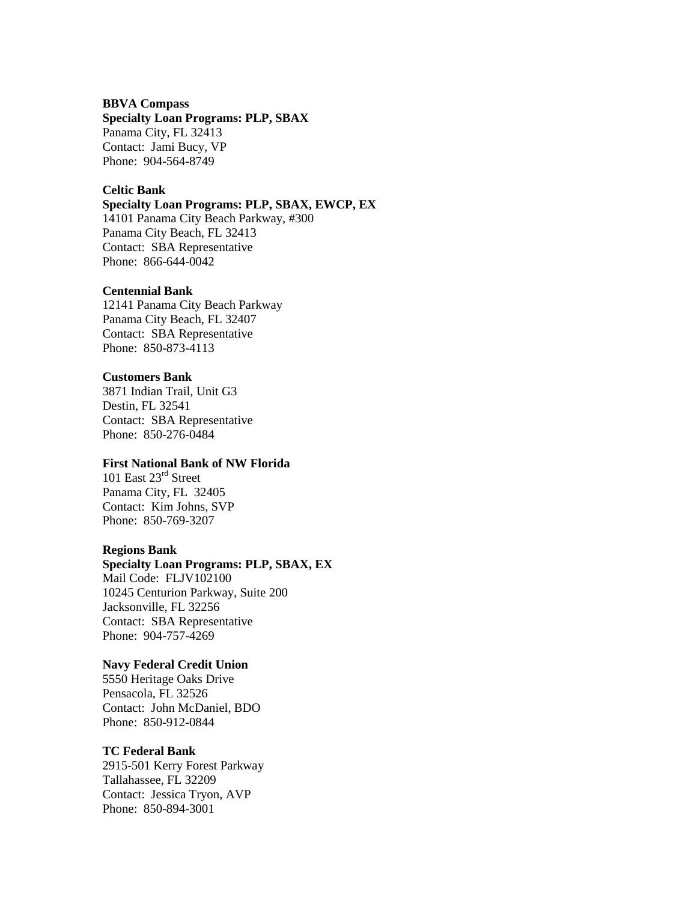### **BBVA Compass**

### **Specialty Loan Programs: PLP, SBAX** Panama City, FL 32413

Contact: Jami Bucy, VP Phone: 904-564-8749

# **Celtic Bank**

# **Specialty Loan Programs: PLP, SBAX, EWCP, EX**

14101 Panama City Beach Parkway, #300 Panama City Beach, FL 32413 Contact: SBA Representative Phone: 866-644-0042

### **Centennial Bank**

12141 Panama City Beach Parkway Panama City Beach, FL 32407 Contact: SBA Representative Phone: 850-873-4113

# **Customers Bank**

3871 Indian Trail, Unit G3 Destin, FL 32541 Contact: SBA Representative Phone: 850-276-0484

# **First National Bank of NW Florida**

101 East 23rd Street Panama City, FL 32405 Contact: Kim Johns, SVP Phone: 850-769-3207

### **Regions Bank**

### **Specialty Loan Programs: PLP, SBAX, EX**

Mail Code: FLJV102100 10245 Centurion Parkway, Suite 200 Jacksonville, FL 32256 Contact: SBA Representative Phone: 904-757-4269

# **Navy Federal Credit Union**

5550 Heritage Oaks Drive Pensacola, FL 32526 Contact: John McDaniel, BDO Phone: 850-912-0844

# **TC Federal Bank**

2915-501 Kerry Forest Parkway Tallahassee, FL 32209 Contact: Jessica Tryon, AVP Phone: 850-894-3001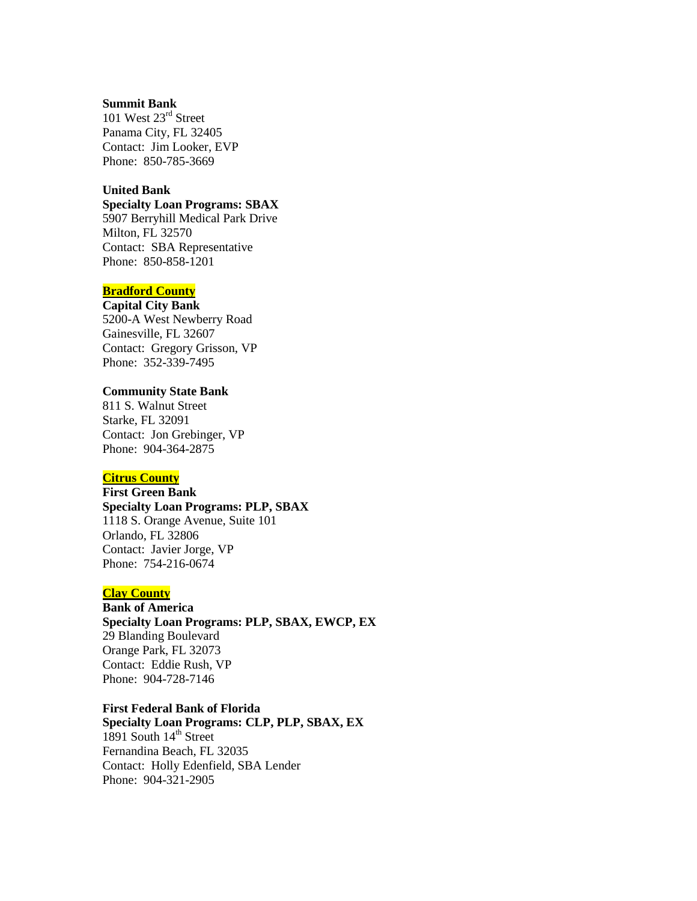#### **Summit Bank**

101 West 23rd Street Panama City, FL 32405 Contact: Jim Looker, EVP Phone: 850-785-3669

# **United Bank**

# **Specialty Loan Programs: SBAX**

5907 Berryhill Medical Park Drive Milton, FL 32570 Contact: SBA Representative Phone: 850-858-1201

# **Bradford County**

#### **Capital City Bank**

5200-A West Newberry Road Gainesville, FL 32607 Contact: Gregory Grisson, VP Phone: 352-339-7495

# **Community State Bank**

811 S. Walnut Street Starke, FL 32091 Contact: Jon Grebinger, VP Phone: 904-364-2875

### **Citrus County**

**First Green Bank Specialty Loan Programs: PLP, SBAX** 1118 S. Orange Avenue, Suite 101 Orlando, FL 32806 Contact: Javier Jorge, VP Phone: 754-216-0674

# **Clay County**

**Bank of America Specialty Loan Programs: PLP, SBAX, EWCP, EX** 29 Blanding Boulevard Orange Park, FL 32073 Contact: Eddie Rush, VP Phone: 904-728-7146

# **First Federal Bank of Florida**

**Specialty Loan Programs: CLP, PLP, SBAX, EX** 1891 South  $14<sup>th</sup>$  Street Fernandina Beach, FL 32035 Contact: Holly Edenfield, SBA Lender Phone: 904-321-2905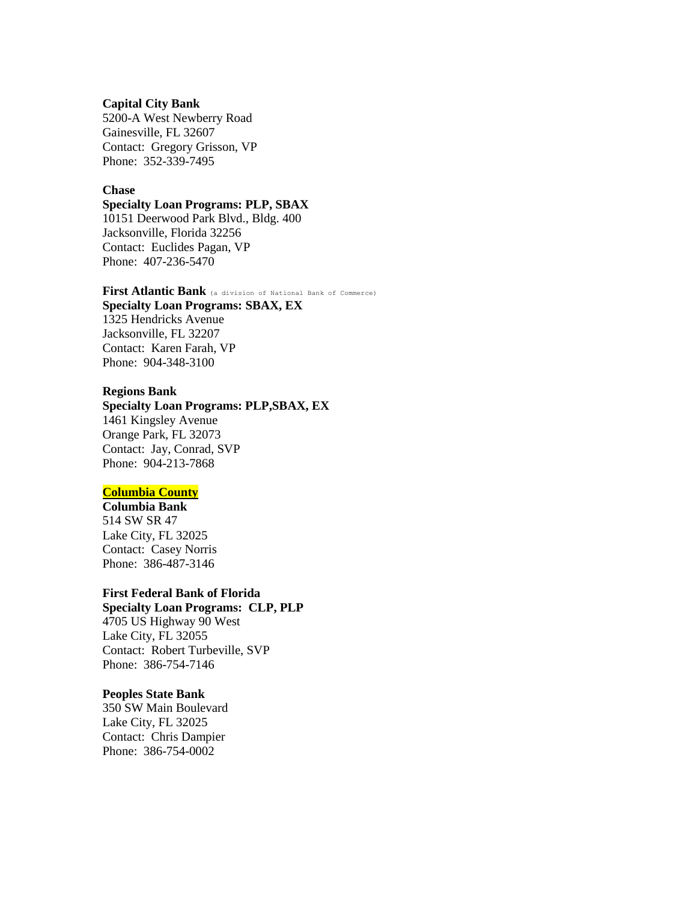#### **Capital City Bank**

5200-A West Newberry Road Gainesville, FL 32607 Contact: Gregory Grisson, VP Phone: 352-339-7495

### **Chase**

#### **Specialty Loan Programs: PLP, SBAX**

10151 Deerwood Park Blvd., Bldg. 400 Jacksonville, Florida 32256 Contact: Euclides Pagan, VP Phone: 407-236-5470

**First Atlantic Bank** (a division of National Bank of Commerce) **Specialty Loan Programs: SBAX, EX** 1325 Hendricks Avenue Jacksonville, FL 32207 Contact: Karen Farah, VP Phone: 904-348-3100

#### **Regions Bank**

**Specialty Loan Programs: PLP,SBAX, EX** 1461 Kingsley Avenue Orange Park, FL 32073 Contact: Jay, Conrad, SVP Phone: 904-213-7868

# **Columbia County**

**Columbia Bank** 514 SW SR 47 Lake City, FL 32025 Contact: Casey Norris Phone: 386-487-3146

# **First Federal Bank of Florida**

**Specialty Loan Programs: CLP, PLP** 4705 US Highway 90 West Lake City, FL 32055 Contact: Robert Turbeville, SVP Phone: 386-754-7146

### **Peoples State Bank**

350 SW Main Boulevard Lake City, FL 32025 Contact: Chris Dampier Phone: 386-754-0002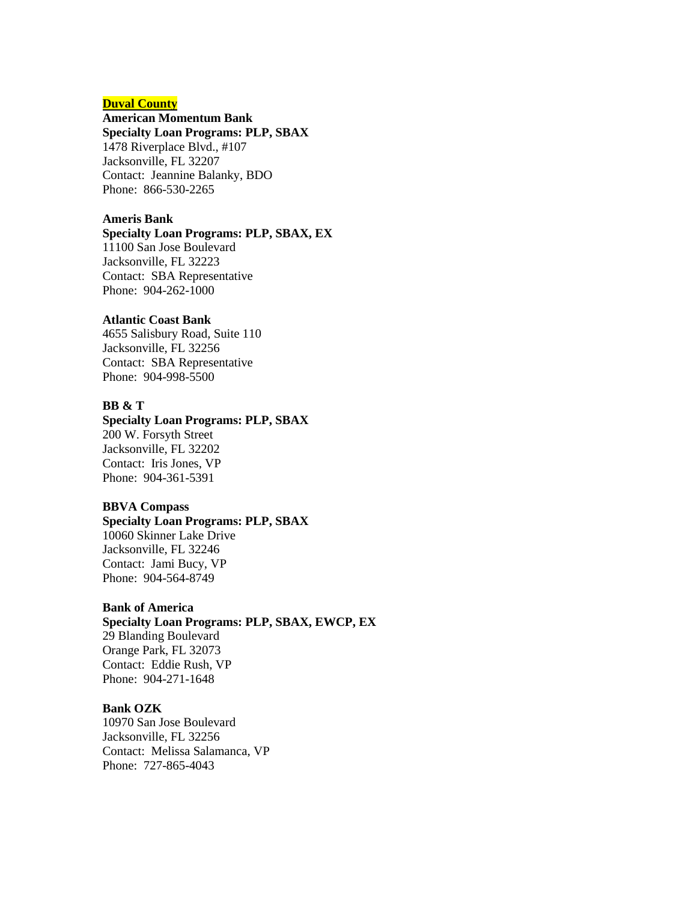# **Duval County**

# **American Momentum Bank**

**Specialty Loan Programs: PLP, SBAX** 1478 Riverplace Blvd., #107

Jacksonville, FL 32207 Contact: Jeannine Balanky, BDO Phone: 866-530-2265

### **Ameris Bank**

# **Specialty Loan Programs: PLP, SBAX, EX**

11100 San Jose Boulevard Jacksonville, FL 32223 Contact: SBA Representative Phone: 904-262-1000

### **Atlantic Coast Bank**

4655 Salisbury Road, Suite 110 Jacksonville, FL 32256 Contact: SBA Representative Phone: 904-998-5500

# **BB & T**

# **Specialty Loan Programs: PLP, SBAX**

200 W. Forsyth Street Jacksonville, FL 32202 Contact: Iris Jones, VP Phone: 904-361-5391

# **BBVA Compass**

**Specialty Loan Programs: PLP, SBAX** 10060 Skinner Lake Drive Jacksonville, FL 32246 Contact: Jami Bucy, VP Phone: 904-564-8749

# **Bank of America**

**Specialty Loan Programs: PLP, SBAX, EWCP, EX** 29 Blanding Boulevard Orange Park, FL 32073 Contact: Eddie Rush, VP Phone: 904-271-1648

# **Bank OZK**

10970 San Jose Boulevard Jacksonville, FL 32256 Contact: Melissa Salamanca, VP Phone: 727-865-4043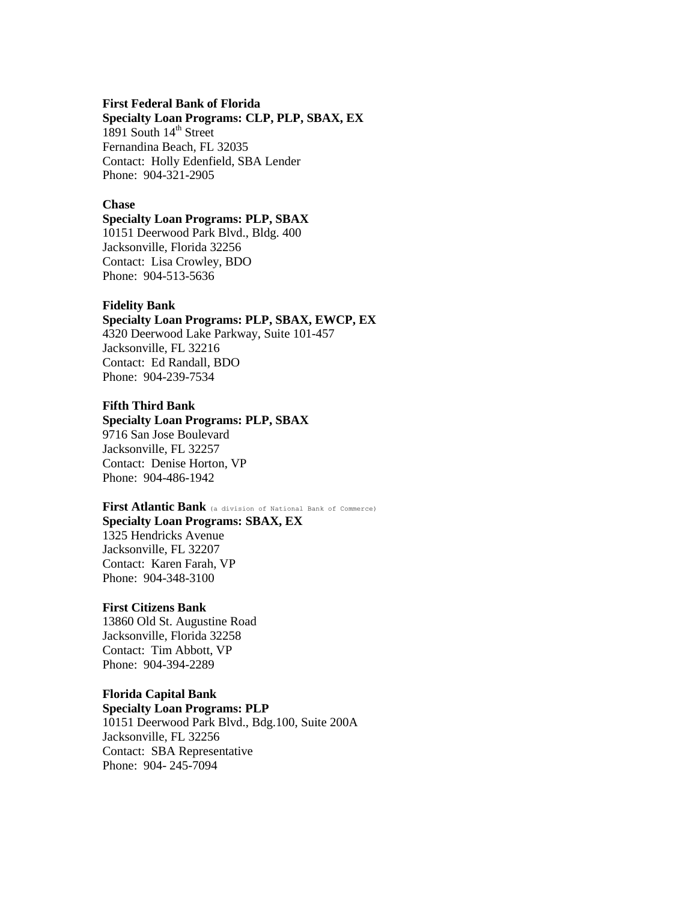#### **First Federal Bank of Florida**

**Specialty Loan Programs: CLP, PLP, SBAX, EX** 1891 South  $14<sup>th</sup>$  Street Fernandina Beach, FL 32035 Contact: Holly Edenfield, SBA Lender Phone: 904-321-2905

### **Chase**

#### **Specialty Loan Programs: PLP, SBAX**

10151 Deerwood Park Blvd., Bldg. 400 Jacksonville, Florida 32256 Contact: Lisa Crowley, BDO Phone: 904-513-5636

### **Fidelity Bank**

### **Specialty Loan Programs: PLP, SBAX, EWCP, EX** 4320 Deerwood Lake Parkway, Suite 101-457

Jacksonville, FL 32216 Contact: Ed Randall, BDO Phone: 904-239-7534

# **Fifth Third Bank**

# **Specialty Loan Programs: PLP, SBAX**

9716 San Jose Boulevard Jacksonville, FL 32257 Contact: Denise Horton, VP Phone: 904-486-1942

# **First Atlantic Bank** (a division of National Bank of Commerce)

**Specialty Loan Programs: SBAX, EX** 1325 Hendricks Avenue Jacksonville, FL 32207 Contact: Karen Farah, VP Phone: 904-348-3100

# **First Citizens Bank**

13860 Old St. Augustine Road Jacksonville, Florida 32258 Contact: Tim Abbott, VP Phone: 904-394-2289

### **Florida Capital Bank**

**Specialty Loan Programs: PLP** 10151 Deerwood Park Blvd., Bdg.100, Suite 200A Jacksonville, FL 32256 Contact: SBA Representative Phone: 904- 245-7094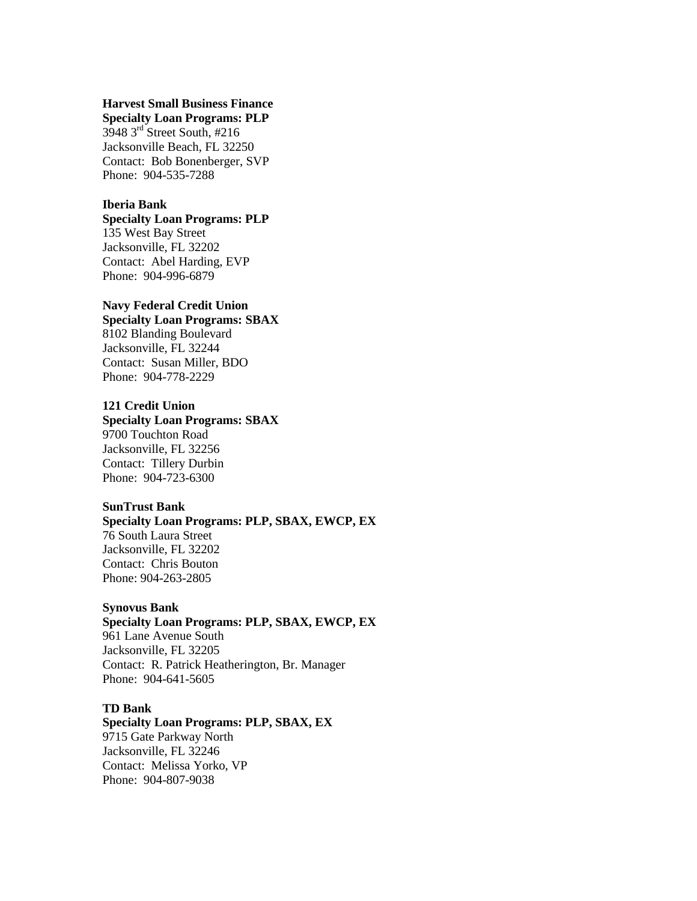# **Harvest Small Business Finance Specialty Loan Programs: PLP**

3948 3rd Street South, #216 Jacksonville Beach, FL 32250 Contact: Bob Bonenberger, SVP Phone: 904-535-7288

# **Iberia Bank**

### **Specialty Loan Programs: PLP** 135 West Bay Street

Jacksonville, FL 32202 Contact: Abel Harding, EVP Phone: 904-996-6879

### **Navy Federal Credit Union**

# **Specialty Loan Programs: SBAX** 8102 Blanding Boulevard Jacksonville, FL 32244 Contact: Susan Miller, BDO Phone: 904-778-2229

# **121 Credit Union**

# **Specialty Loan Programs: SBAX**

9700 Touchton Road Jacksonville, FL 32256 Contact: Tillery Durbin Phone: 904-723-6300

# **SunTrust Bank**

# **Specialty Loan Programs: PLP, SBAX, EWCP, EX** 76 South Laura Street Jacksonville, FL 32202 Contact: Chris Bouton Phone: 904-263-2805

# **Synovus Bank**

**Specialty Loan Programs: PLP, SBAX, EWCP, EX** 961 Lane Avenue South Jacksonville, FL 32205 Contact: R. Patrick Heatherington, Br. Manager Phone: 904-641-5605

# **TD Bank**

**Specialty Loan Programs: PLP, SBAX, EX** 9715 Gate Parkway North Jacksonville, FL 32246 Contact: Melissa Yorko, VP Phone: 904-807-9038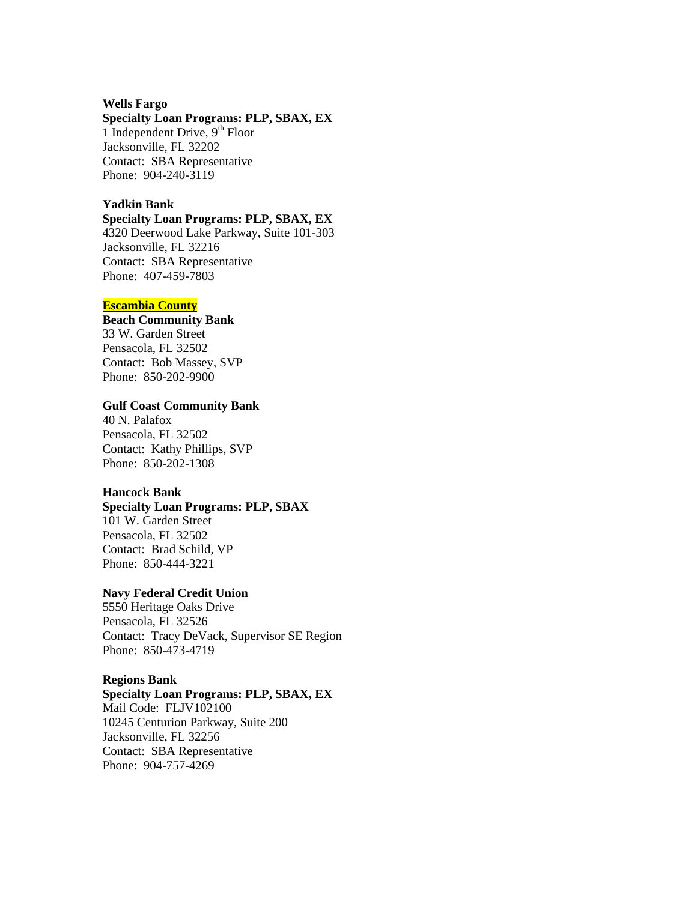#### **Wells Fargo**

# **Specialty Loan Programs: PLP, SBAX, EX**

1 Independent Drive,  $9<sup>th</sup>$  Floor Jacksonville, FL 32202 Contact: SBA Representative Phone: 904-240-3119

### **Yadkin Bank**

# **Specialty Loan Programs: PLP, SBAX, EX**

4320 Deerwood Lake Parkway, Suite 101-303 Jacksonville, FL 32216 Contact: SBA Representative Phone: 407-459-7803

### **Escambia County**

# **Beach Community Bank**

33 W. Garden Street Pensacola, FL 32502 Contact: Bob Massey, SVP Phone: 850-202-9900

# **Gulf Coast Community Bank**

40 N. Palafox Pensacola, FL 32502 Contact: Kathy Phillips, SVP Phone: 850-202-1308

#### **Hancock Bank**

# **Specialty Loan Programs: PLP, SBAX** 101 W. Garden Street Pensacola, FL 32502 Contact: Brad Schild, VP Phone: 850-444-3221

#### **Navy Federal Credit Union**

5550 Heritage Oaks Drive Pensacola, FL 32526 Contact: Tracy DeVack, Supervisor SE Region Phone: 850-473-4719

### **Regions Bank**

# **Specialty Loan Programs: PLP, SBAX, EX**

Mail Code: FLJV102100 10245 Centurion Parkway, Suite 200 Jacksonville, FL 32256 Contact: SBA Representative Phone: 904-757-4269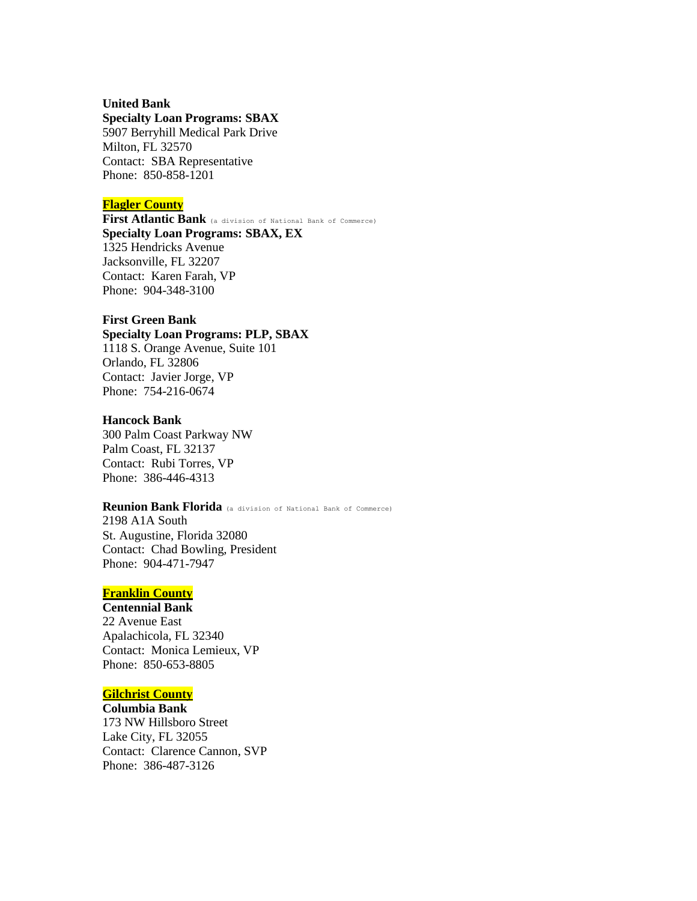### **United Bank**

#### **Specialty Loan Programs: SBAX**

5907 Berryhill Medical Park Drive Milton, FL 32570 Contact: SBA Representative Phone: 850-858-1201

# **Flagler County**

**First Atlantic Bank** (a division of National Bank of Commerce) **Specialty Loan Programs: SBAX, EX** 1325 Hendricks Avenue Jacksonville, FL 32207 Contact: Karen Farah, VP Phone: 904-348-3100

# **First Green Bank**

**Specialty Loan Programs: PLP, SBAX** 1118 S. Orange Avenue, Suite 101 Orlando, FL 32806 Contact: Javier Jorge, VP

Phone: 754-216-0674

### **Hancock Bank**

300 Palm Coast Parkway NW Palm Coast, FL 32137 Contact: Rubi Torres, VP Phone: 386-446-4313

# **Reunion Bank Florida** (a division of National Bank of Commerce)

2198 A1A South St. Augustine, Florida 32080 Contact: Chad Bowling, President Phone: 904-471-7947

# **Franklin County**

**Centennial Bank** 22 Avenue East Apalachicola, FL 32340 Contact: Monica Lemieux, VP Phone: 850-653-8805

# **Gilchrist County**

**Columbia Bank** 173 NW Hillsboro Street Lake City, FL 32055 Contact: Clarence Cannon, SVP Phone: 386-487-3126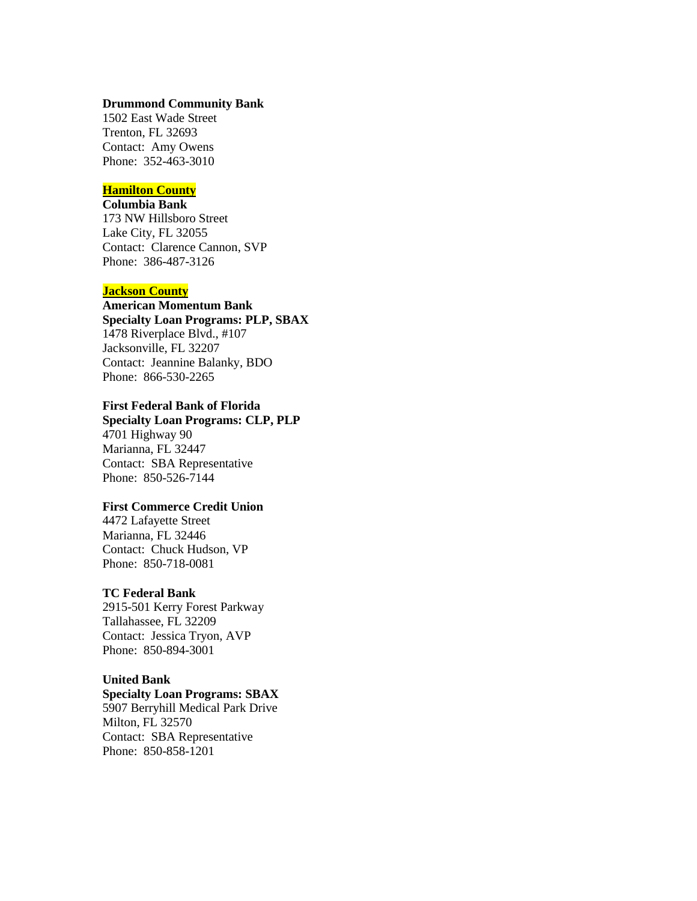### **Drummond Community Bank**

1502 East Wade Street Trenton, FL 32693 Contact: Amy Owens Phone: 352-463-3010

# **Hamilton County**

**Columbia Bank** 173 NW Hillsboro Street Lake City, FL 32055 Contact: Clarence Cannon, SVP Phone: 386-487-3126

### **Jackson County**

# **American Momentum Bank Specialty Loan Programs: PLP, SBAX** 1478 Riverplace Blvd., #107 Jacksonville, FL 32207 Contact: Jeannine Balanky, BDO Phone: 866-530-2265

# **First Federal Bank of Florida**

**Specialty Loan Programs: CLP, PLP** 4701 Highway 90 Marianna, FL 32447 Contact: SBA Representative Phone: 850-526-7144

# **First Commerce Credit Union**

4472 Lafayette Street Marianna, FL 32446 Contact: Chuck Hudson, VP Phone: 850-718-0081

#### **TC Federal Bank**

2915-501 Kerry Forest Parkway Tallahassee, FL 32209 Contact: Jessica Tryon, AVP Phone: 850-894-3001

# **United Bank**

# **Specialty Loan Programs: SBAX**

5907 Berryhill Medical Park Drive Milton, FL 32570 Contact: SBA Representative Phone: 850-858-1201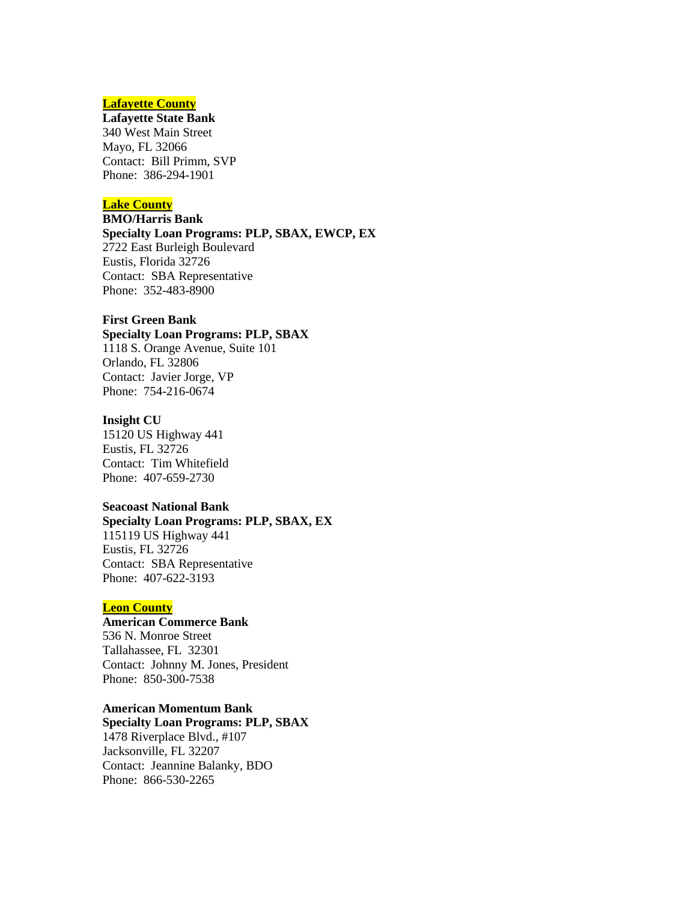# **Lafayette County**

### **Lafayette State Bank**

340 West Main Street Mayo, FL 32066 Contact: Bill Primm, SVP Phone: 386-294-1901

# **Lake County**

# **BMO/Harris Bank**

**Specialty Loan Programs: PLP, SBAX, EWCP, EX** 2722 East Burleigh Boulevard Eustis, Florida 32726 Contact: SBA Representative Phone: 352-483-8900

# **First Green Bank**

# **Specialty Loan Programs: PLP, SBAX** 1118 S. Orange Avenue, Suite 101

Orlando, FL 32806 Contact: Javier Jorge, VP Phone: 754-216-0674

# **Insight CU**

15120 US Highway 441 Eustis, FL 32726 Contact: Tim Whitefield Phone: 407-659-2730

# **Seacoast National Bank**

# **Specialty Loan Programs: PLP, SBAX, EX** 115119 US Highway 441 Eustis, FL 32726 Contact: SBA Representative Phone: 407-622-3193

# **Leon County**

# **American Commerce Bank**

536 N. Monroe Street Tallahassee, FL 32301 Contact: Johnny M. Jones, President Phone: 850-300-7538

# **American Momentum Bank**

**Specialty Loan Programs: PLP, SBAX** 1478 Riverplace Blvd., #107 Jacksonville, FL 32207 Contact: Jeannine Balanky, BDO Phone: 866-530-2265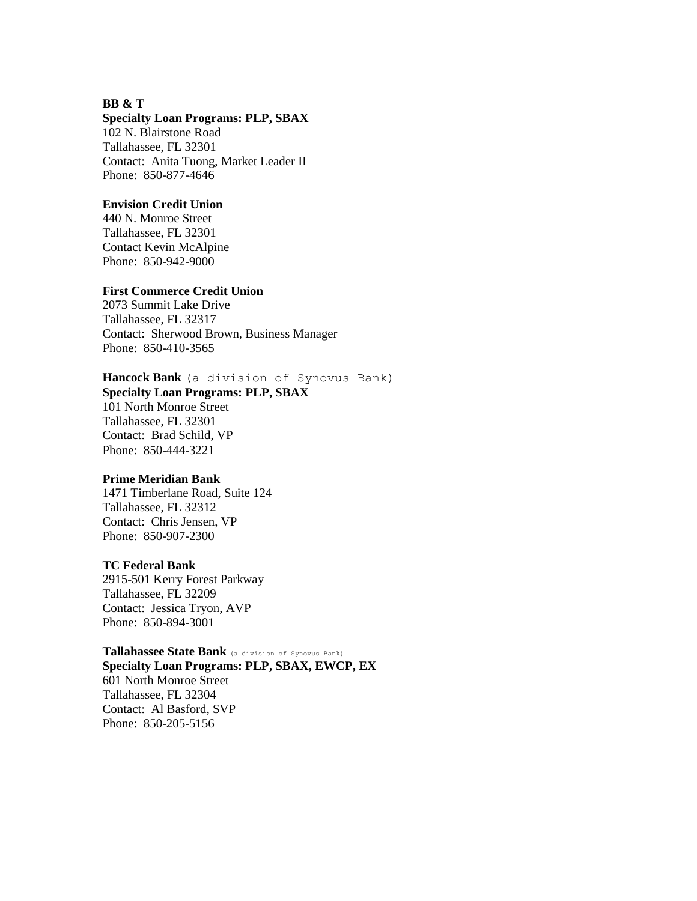## **BB & T**

### **Specialty Loan Programs: PLP, SBAX**

102 N. Blairstone Road Tallahassee, FL 32301 Contact: Anita Tuong, Market Leader II Phone: 850-877-4646

#### **Envision Credit Union**

440 N. Monroe Street Tallahassee, FL 32301 Contact Kevin McAlpine Phone: 850-942-9000

#### **First Commerce Credit Union**

2073 Summit Lake Drive Tallahassee, FL 32317 Contact: Sherwood Brown, Business Manager Phone: 850-410-3565

# **Hancock Bank** (a division of Synovus Bank)

**Specialty Loan Programs: PLP, SBAX**

101 North Monroe Street Tallahassee, FL 32301 Contact: Brad Schild, VP Phone: 850-444-3221

### **Prime Meridian Bank**

1471 Timberlane Road, Suite 124 Tallahassee, FL 32312 Contact: Chris Jensen, VP Phone: 850-907-2300

#### **TC Federal Bank**

2915-501 Kerry Forest Parkway Tallahassee, FL 32209 Contact: Jessica Tryon, AVP Phone: 850-894-3001

### **Tallahassee State Bank** (a division of Synovus Bank)

**Specialty Loan Programs: PLP, SBAX, EWCP, EX** 601 North Monroe Street Tallahassee, FL 32304 Contact: Al Basford, SVP Phone: 850-205-5156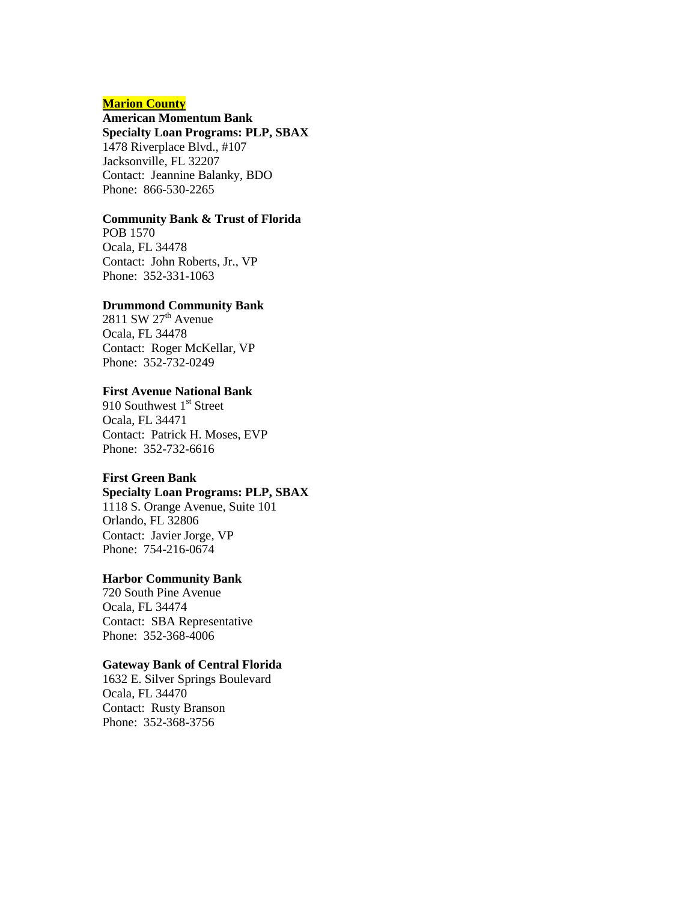# **Marion County**

# **American Momentum Bank**

**Specialty Loan Programs: PLP, SBAX**

1478 Riverplace Blvd., #107 Jacksonville, FL 32207 Contact: Jeannine Balanky, BDO Phone: 866-530-2265

# **Community Bank & Trust of Florida**

POB 1570 Ocala, FL 34478 Contact: John Roberts, Jr., VP Phone: 352-331-1063

### **Drummond Community Bank**

2811 SW  $27<sup>th</sup>$  Avenue Ocala, FL 34478 Contact: Roger McKellar, VP Phone: 352-732-0249

# **First Avenue National Bank**

910 Southwest 1<sup>st</sup> Street Ocala, FL 34471 Contact: Patrick H. Moses, EVP Phone: 352-732-6616

#### **First Green Bank**

# **Specialty Loan Programs: PLP, SBAX**

1118 S. Orange Avenue, Suite 101 Orlando, FL 32806 Contact: Javier Jorge, VP Phone: 754-216-0674

### **Harbor Community Bank**

720 South Pine Avenue Ocala, FL 34474 Contact: SBA Representative Phone: 352-368-4006

# **Gateway Bank of Central Florida**

1632 E. Silver Springs Boulevard Ocala, FL 34470 Contact: Rusty Branson Phone: 352-368-3756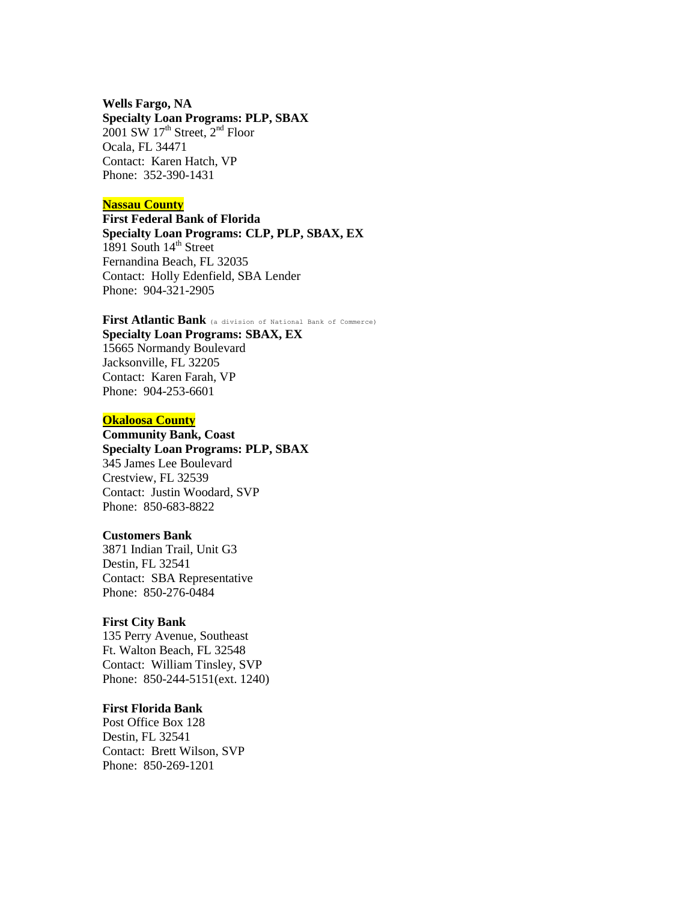### **Wells Fargo, NA**

### **Specialty Loan Programs: PLP, SBAX**

 $2001$  SW  $17<sup>th</sup>$  Street,  $2<sup>nd</sup>$  Floor Ocala, FL 34471 Contact: Karen Hatch, VP Phone: 352-390-1431

# **Nassau County**

**First Federal Bank of Florida Specialty Loan Programs: CLP, PLP, SBAX, EX** 1891 South 14<sup>th</sup> Street Fernandina Beach, FL 32035 Contact: Holly Edenfield, SBA Lender Phone: 904-321-2905

**First Atlantic Bank** (a division of National Bank of Commerce) **Specialty Loan Programs: SBAX, EX** 15665 Normandy Boulevard Jacksonville, FL 32205 Contact: Karen Farah, VP Phone: 904-253-6601

### **Okaloosa County**

**Community Bank, Coast Specialty Loan Programs: PLP, SBAX** 345 James Lee Boulevard Crestview, FL 32539 Contact: Justin Woodard, SVP Phone: 850-683-8822

#### **Customers Bank**

3871 Indian Trail, Unit G3 Destin, FL 32541 Contact: SBA Representative Phone: 850-276-0484

#### **First City Bank**

135 Perry Avenue, Southeast Ft. Walton Beach, FL 32548 Contact: William Tinsley, SVP Phone: 850-244-5151(ext. 1240)

# **First Florida Bank**

Post Office Box 128 Destin, FL 32541 Contact: Brett Wilson, SVP Phone: 850-269-1201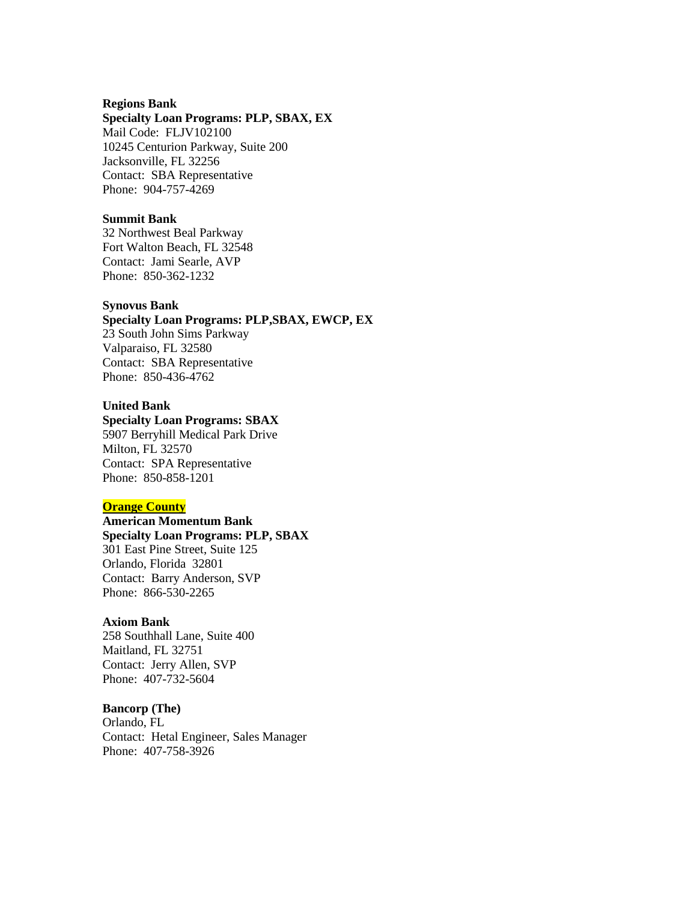#### **Regions Bank**

### **Specialty Loan Programs: PLP, SBAX, EX**

Mail Code: FLJV102100 10245 Centurion Parkway, Suite 200 Jacksonville, FL 32256 Contact: SBA Representative Phone: 904-757-4269

### **Summit Bank**

32 Northwest Beal Parkway Fort Walton Beach, FL 32548 Contact: Jami Searle, AVP Phone: 850-362-1232

#### **Synovus Bank**

### **Specialty Loan Programs: PLP,SBAX, EWCP, EX**

23 South John Sims Parkway Valparaiso, FL 32580 Contact: SBA Representative Phone: 850-436-4762

# **United Bank**

# **Specialty Loan Programs: SBAX**

5907 Berryhill Medical Park Drive Milton, FL 32570 Contact: SPA Representative Phone: 850-858-1201

# **Orange County**

**American Momentum Bank Specialty Loan Programs: PLP, SBAX** 301 East Pine Street, Suite 125 Orlando, Florida 32801 Contact: Barry Anderson, SVP Phone: 866-530-2265

### **Axiom Bank**

258 Southhall Lane, Suite 400 Maitland, FL 32751 Contact: Jerry Allen, SVP Phone: 407-732-5604

# **Bancorp (The)**

Orlando, FL Contact: Hetal Engineer, Sales Manager Phone: 407-758-3926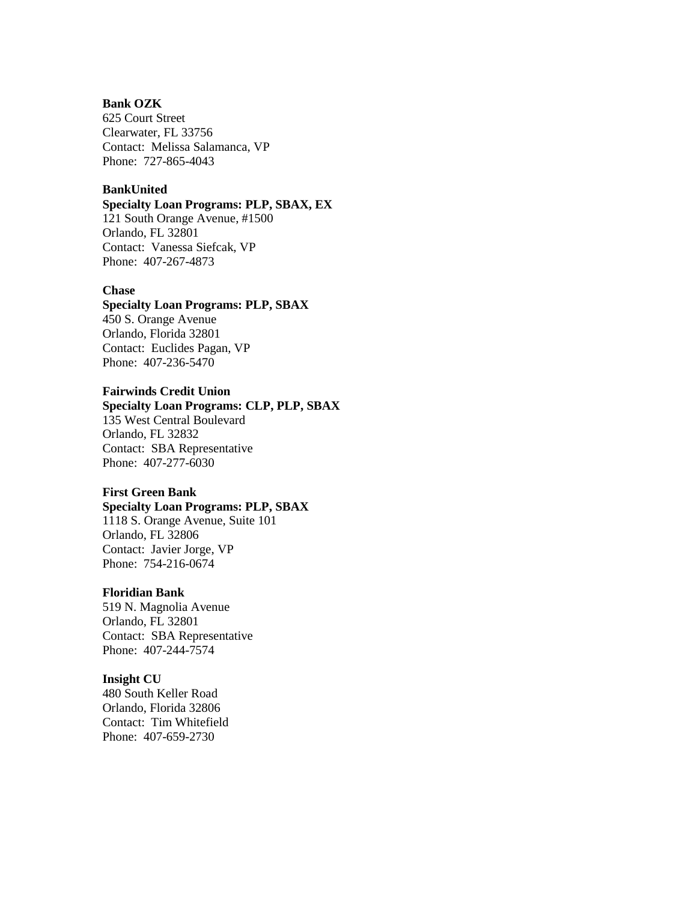# **Bank OZK**

625 Court Street Clearwater, FL 33756 Contact: Melissa Salamanca, VP Phone: 727-865-4043

# **BankUnited**

# **Specialty Loan Programs: PLP, SBAX, EX**

121 South Orange Avenue, #1500 Orlando, FL 32801 Contact: Vanessa Siefcak, VP Phone: 407-267-4873

#### **Chase**

### **Specialty Loan Programs: PLP, SBAX**

450 S. Orange Avenue Orlando, Florida 32801 Contact: Euclides Pagan, VP Phone: 407-236-5470

# **Fairwinds Credit Union**

# **Specialty Loan Programs: CLP, PLP, SBAX**

135 West Central Boulevard Orlando, FL 32832 Contact: SBA Representative Phone: 407-277-6030

# **First Green Bank**

# **Specialty Loan Programs: PLP, SBAX**

1118 S. Orange Avenue, Suite 101 Orlando, FL 32806 Contact: Javier Jorge, VP Phone: 754-216-0674

#### **Floridian Bank**

519 N. Magnolia Avenue Orlando, FL 32801 Contact: SBA Representative Phone: 407-244-7574

#### **Insight CU**

480 South Keller Road Orlando, Florida 32806 Contact: Tim Whitefield Phone: 407-659-2730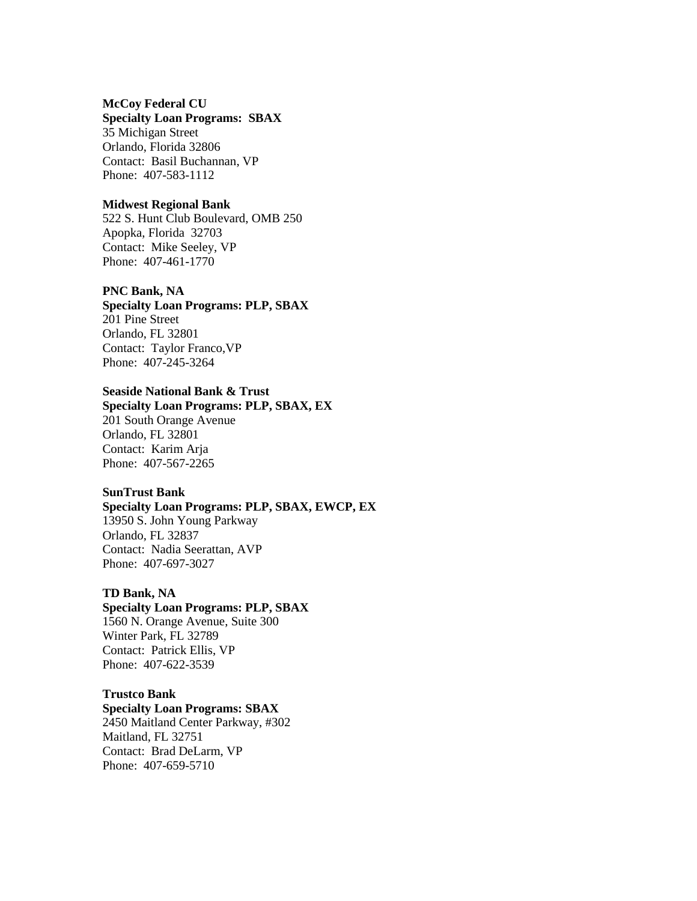## **McCoy Federal CU**

### **Specialty Loan Programs: SBAX**

35 Michigan Street Orlando, Florida 32806 Contact: Basil Buchannan, VP Phone: 407-583-1112

### **Midwest Regional Bank**

522 S. Hunt Club Boulevard, OMB 250 Apopka, Florida 32703 Contact: Mike Seeley, VP Phone: 407-461-1770

#### **PNC Bank, NA**

**Specialty Loan Programs: PLP, SBAX** 201 Pine Street Orlando, FL 32801 Contact: Taylor Franco,VP Phone: 407-245-3264

# **Seaside National Bank & Trust**

**Specialty Loan Programs: PLP, SBAX, EX** 201 South Orange Avenue Orlando, FL 32801 Contact: Karim Arja Phone: 407-567-2265

# **SunTrust Bank**

# **Specialty Loan Programs: PLP, SBAX, EWCP, EX**

13950 S. John Young Parkway Orlando, FL 32837 Contact: Nadia Seerattan, AVP Phone: 407-697-3027

#### **TD Bank, NA**

**Specialty Loan Programs: PLP, SBAX** 1560 N. Orange Avenue, Suite 300 Winter Park, FL 32789 Contact: Patrick Ellis, VP Phone: 407-622-3539

### **Trustco Bank**

**Specialty Loan Programs: SBAX** 2450 Maitland Center Parkway, #302 Maitland, FL 32751 Contact: Brad DeLarm, VP Phone: 407-659-5710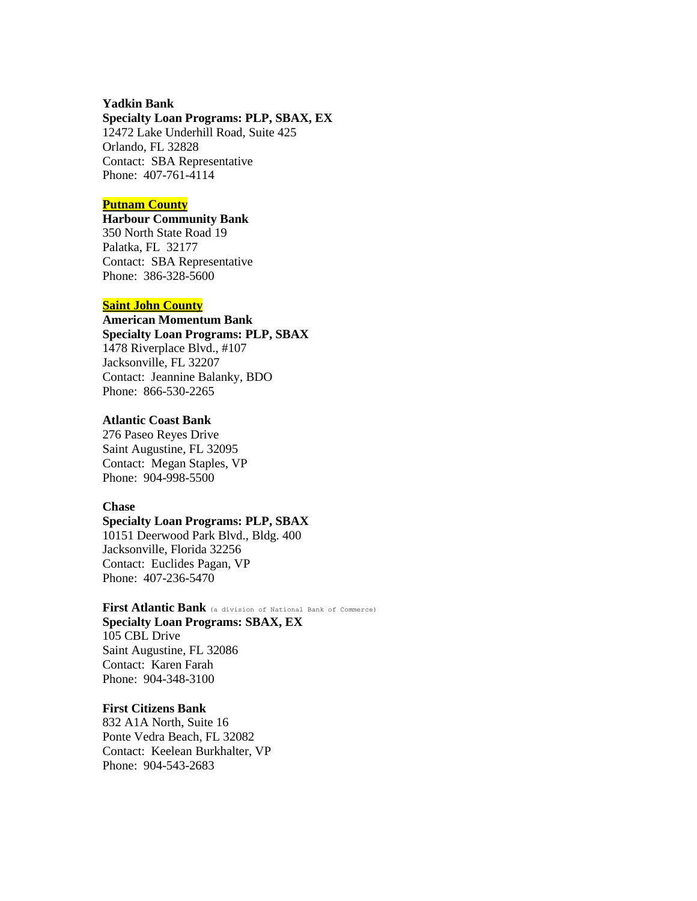### **Yadkin Bank**

#### **Specialty Loan Programs: PLP, SBAX, EX**

12472 Lake Underhill Road, Suite 425 Orlando, FL 32828 Contact: SBA Representative Phone: 407-761-4114

### **Putnam County**

# **Harbour Community Bank** 350 North State Road 19 Palatka, FL 32177 Contact: SBA Representative Phone: 386-328-5600

### **Saint John County**

**American Momentum Bank Specialty Loan Programs: PLP, SBAX** 1478 Riverplace Blvd., #107 Jacksonville, FL 32207 Contact: Jeannine Balanky, BDO Phone: 866-530-2265

### **Atlantic Coast Bank**

276 Paseo Reyes Drive Saint Augustine, FL 32095 Contact: Megan Staples, VP Phone: 904-998-5500

### **Chase**

# **Specialty Loan Programs: PLP, SBAX**

10151 Deerwood Park Blvd., Bldg. 400 Jacksonville, Florida 32256 Contact: Euclides Pagan, VP Phone: 407-236-5470

### **First Atlantic Bank** (a division of National Bank of Commerce) **Specialty Loan Programs: SBAX, EX**

105 CBL Drive Saint Augustine, FL 32086 Contact: Karen Farah Phone: 904-348-3100

# **First Citizens Bank**

832 A1A North, Suite 16 Ponte Vedra Beach, FL 32082 Contact: Keelean Burkhalter, VP Phone: 904-543-2683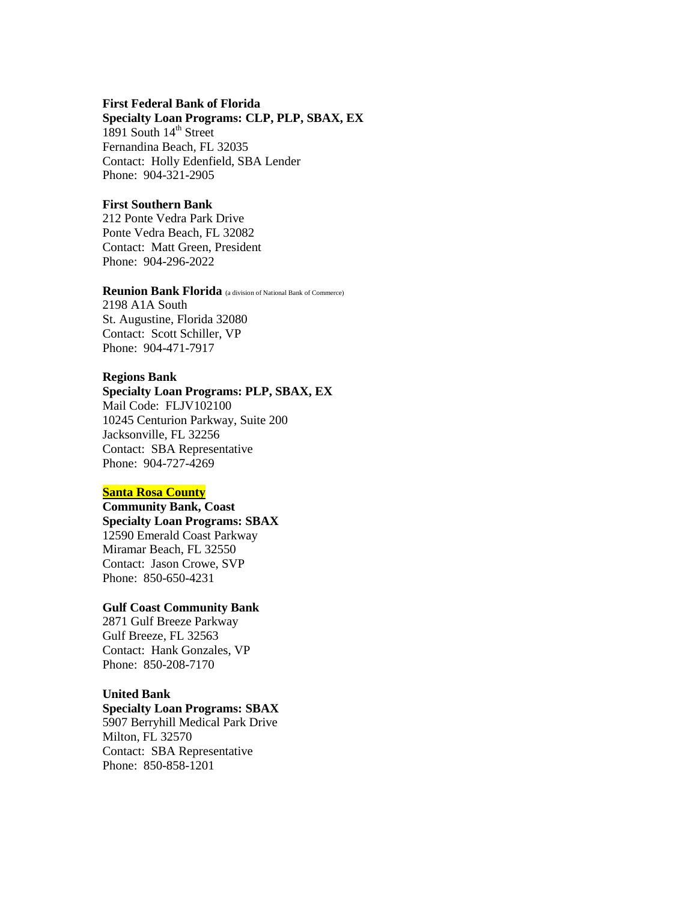#### **First Federal Bank of Florida**

**Specialty Loan Programs: CLP, PLP, SBAX, EX**

1891 South  $14<sup>th</sup>$  Street Fernandina Beach, FL 32035 Contact: Holly Edenfield, SBA Lender Phone: 904-321-2905

### **First Southern Bank**

212 Ponte Vedra Park Drive Ponte Vedra Beach, FL 32082 Contact: Matt Green, President Phone: 904-296-2022

# **Reunion Bank Florida** (a division of National Bank of Commerce)

2198 A1A South St. Augustine, Florida 32080 Contact: Scott Schiller, VP Phone: 904-471-7917

### **Regions Bank**

# **Specialty Loan Programs: PLP, SBAX, EX** Mail Code: FLJV102100 10245 Centurion Parkway, Suite 200 Jacksonville, FL 32256 Contact: SBA Representative Phone: 904-727-4269

#### **Santa Rosa County**

**Community Bank, Coast Specialty Loan Programs: SBAX** 12590 Emerald Coast Parkway Miramar Beach, FL 32550 Contact: Jason Crowe, SVP Phone: 850-650-4231

# **Gulf Coast Community Bank**

2871 Gulf Breeze Parkway Gulf Breeze, FL 32563 Contact: Hank Gonzales, VP Phone: 850-208-7170

# **United Bank**

# **Specialty Loan Programs: SBAX**

5907 Berryhill Medical Park Drive Milton, FL 32570 Contact: SBA Representative Phone: 850-858-1201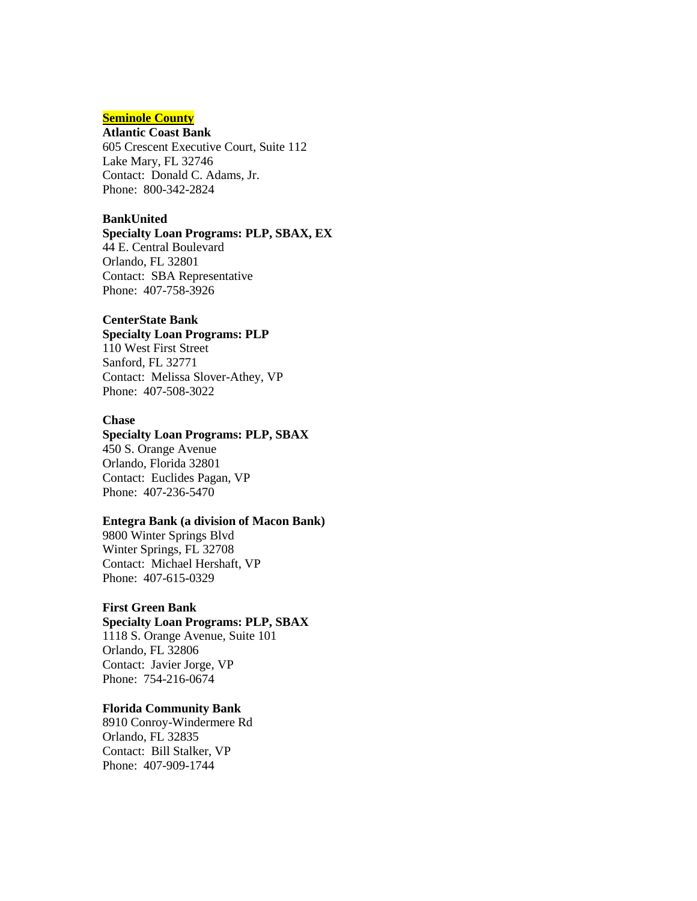# **Seminole County**

# **Atlantic Coast Bank**

605 Crescent Executive Court, Suite 112 Lake Mary, FL 32746 Contact: Donald C. Adams, Jr. Phone: 800-342-2824

#### **BankUnited**

# **Specialty Loan Programs: PLP, SBAX, EX**

44 E. Central Boulevard Orlando, FL 32801 Contact: SBA Representative Phone: 407-758-3926

# **CenterState Bank**

### **Specialty Loan Programs: PLP** 110 West First Street

Sanford, FL 32771 Contact: Melissa Slover-Athey, VP Phone: 407-508-3022

### **Chase**

# **Specialty Loan Programs: PLP, SBAX**

450 S. Orange Avenue Orlando, Florida 32801 Contact: Euclides Pagan, VP Phone: 407-236-5470

# **Entegra Bank (a division of Macon Bank)**

9800 Winter Springs Blvd Winter Springs, FL 32708 Contact: Michael Hershaft, VP Phone: 407-615-0329

# **First Green Bank**

# **Specialty Loan Programs: PLP, SBAX**

1118 S. Orange Avenue, Suite 101 Orlando, FL 32806 Contact: Javier Jorge, VP Phone: 754-216-0674

### **Florida Community Bank**

8910 Conroy-Windermere Rd Orlando, FL 32835 Contact: Bill Stalker, VP Phone: 407-909-1744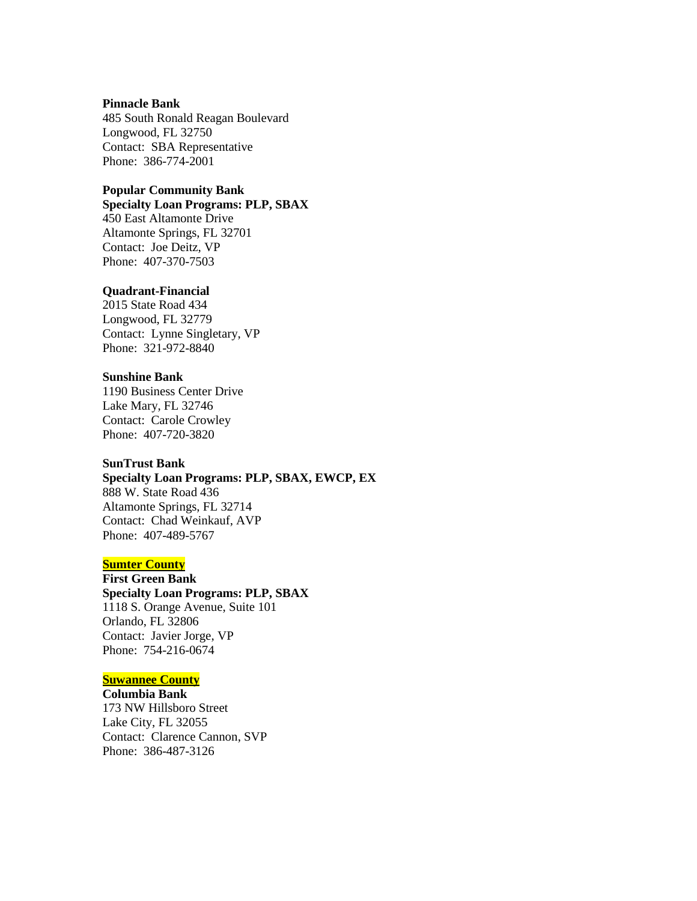#### **Pinnacle Bank**

485 South Ronald Reagan Boulevard Longwood, FL 32750 Contact: SBA Representative Phone: 386-774-2001

# **Popular Community Bank**

# **Specialty Loan Programs: PLP, SBAX**

450 East Altamonte Drive Altamonte Springs, FL 32701 Contact: Joe Deitz, VP Phone: 407-370-7503

#### **Quadrant-Financial**

2015 State Road 434 Longwood, FL 32779 Contact: Lynne Singletary, VP Phone: 321-972-8840

# **Sunshine Bank**

1190 Business Center Drive Lake Mary, FL 32746 Contact: Carole Crowley Phone: 407-720-3820

# **SunTrust Bank**

# **Specialty Loan Programs: PLP, SBAX, EWCP, EX**

888 W. State Road 436 Altamonte Springs, FL 32714 Contact: Chad Weinkauf, AVP Phone: 407-489-5767

# **Sumter County**

**First Green Bank Specialty Loan Programs: PLP, SBAX** 1118 S. Orange Avenue, Suite 101 Orlando, FL 32806 Contact: Javier Jorge, VP Phone: 754-216-0674

# **Suwannee County**

**Columbia Bank** 173 NW Hillsboro Street Lake City, FL 32055 Contact: Clarence Cannon, SVP Phone: 386-487-3126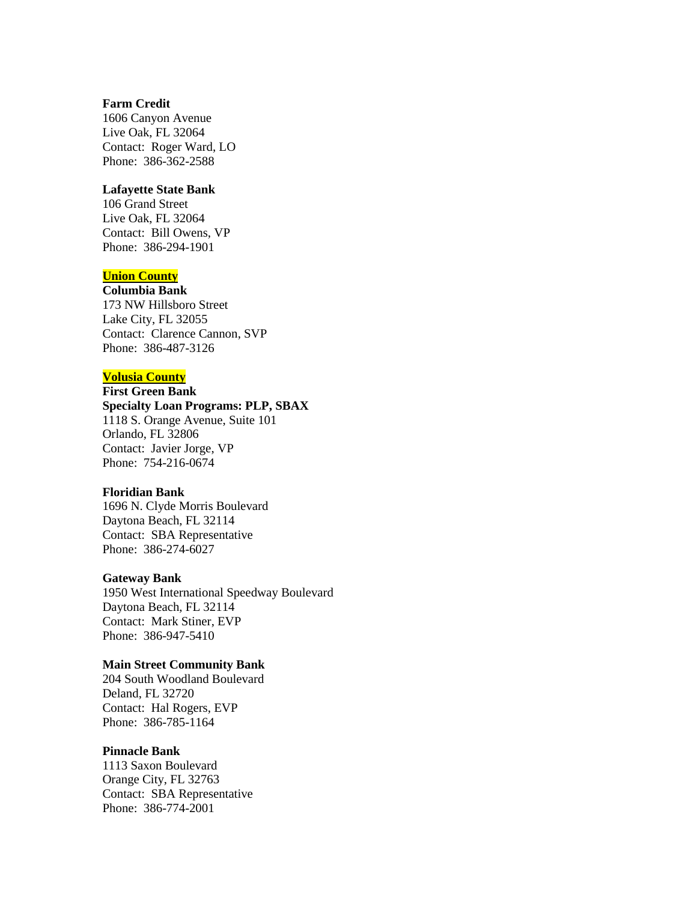### **Farm Credit**

1606 Canyon Avenue Live Oak, FL 32064 Contact: Roger Ward, LO Phone: 386-362-2588

# **Lafayette State Bank**

106 Grand Street Live Oak, FL 32064 Contact: Bill Owens, VP Phone: 386-294-1901

# **Union County**

**Columbia Bank** 173 NW Hillsboro Street Lake City, FL 32055 Contact: Clarence Cannon, SVP Phone: 386-487-3126

# **Volusia County**

### **First Green Bank Specialty Loan Programs: PLP, SBAX**

1118 S. Orange Avenue, Suite 101 Orlando, FL 32806 Contact: Javier Jorge, VP Phone: 754-216-0674

### **Floridian Bank**

1696 N. Clyde Morris Boulevard Daytona Beach, FL 32114 Contact: SBA Representative Phone: 386-274-6027

#### **Gateway Bank**

1950 West International Speedway Boulevard Daytona Beach, FL 32114 Contact: Mark Stiner, EVP Phone: 386-947-5410

# **Main Street Community Bank**

204 South Woodland Boulevard Deland, FL 32720 Contact: Hal Rogers, EVP Phone: 386-785-1164

# **Pinnacle Bank**

1113 Saxon Boulevard Orange City, FL 32763 Contact: SBA Representative Phone: 386-774-2001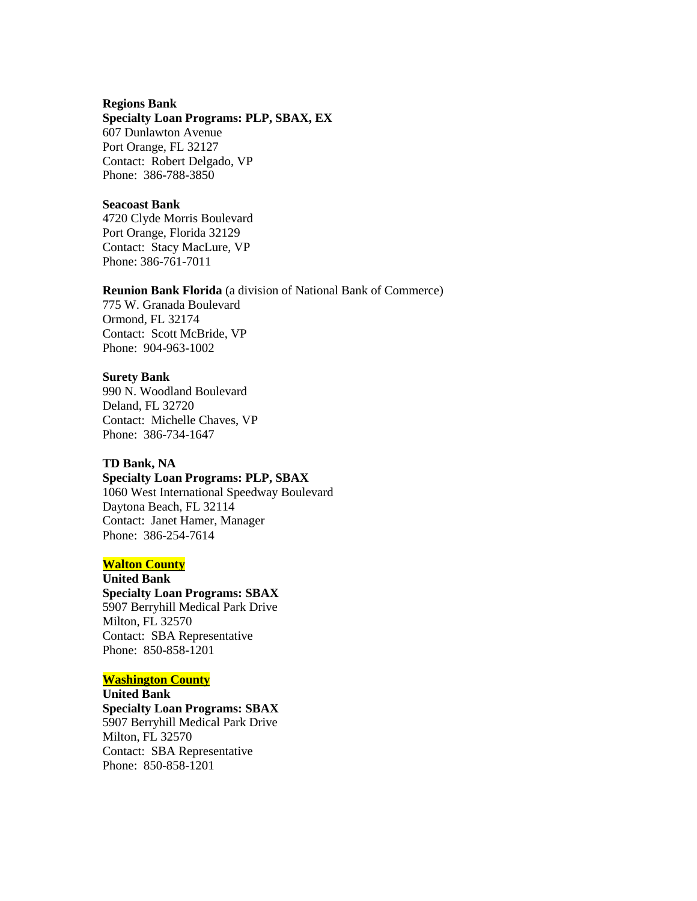#### **Regions Bank**

#### **Specialty Loan Programs: PLP, SBAX, EX**

607 Dunlawton Avenue Port Orange, FL 32127 Contact: Robert Delgado, VP Phone: 386-788-3850

### **Seacoast Bank**

4720 Clyde Morris Boulevard Port Orange, Florida 32129 Contact: Stacy MacLure, VP Phone: 386-761-7011

#### **Reunion Bank Florida** (a division of National Bank of Commerce)

775 W. Granada Boulevard Ormond, FL 32174 Contact: Scott McBride, VP Phone: 904-963-1002

### **Surety Bank**

990 N. Woodland Boulevard Deland, FL 32720 Contact: Michelle Chaves, VP Phone: 386-734-1647

# **TD Bank, NA**

**Specialty Loan Programs: PLP, SBAX** 1060 West International Speedway Boulevard Daytona Beach, FL 32114 Contact: Janet Hamer, Manager Phone: 386-254-7614

# **Walton County**

**United Bank Specialty Loan Programs: SBAX** 5907 Berryhill Medical Park Drive Milton, FL 32570 Contact: SBA Representative Phone: 850-858-1201

# **Washington County**

**United Bank Specialty Loan Programs: SBAX** 5907 Berryhill Medical Park Drive Milton, FL 32570 Contact: SBA Representative Phone: 850-858-1201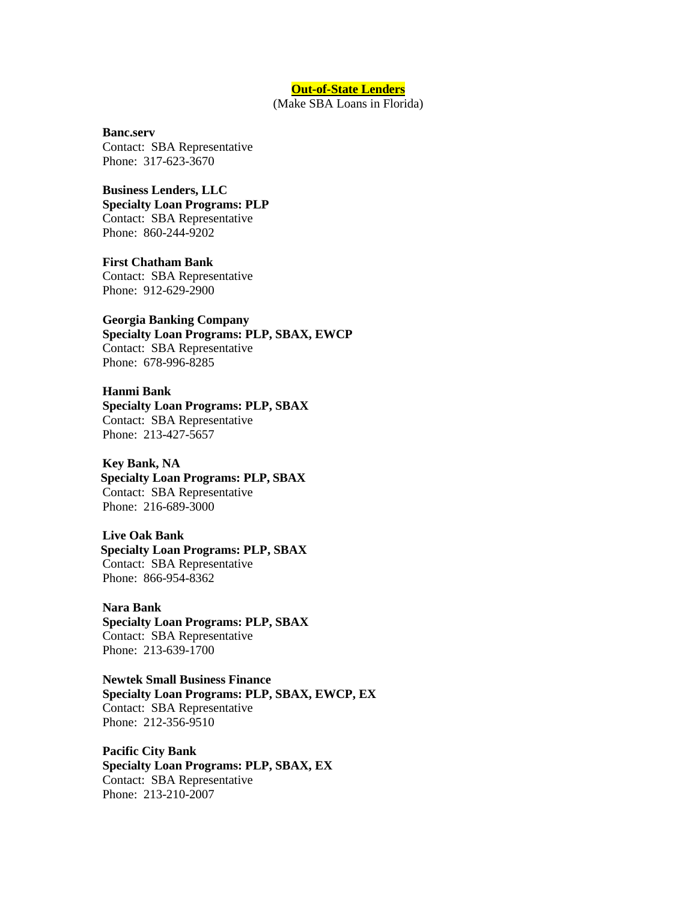#### **Out-of-State Lenders**

(Make SBA Loans in Florida)

#### **Banc.serv**

Contact: SBA Representative Phone: 317-623-3670

# **Business Lenders, LLC**

**Specialty Loan Programs: PLP** Contact: SBA Representative Phone: 860-244-9202

**First Chatham Bank** Contact: SBA Representative Phone: 912-629-2900

# **Georgia Banking Company Specialty Loan Programs: PLP, SBAX, EWCP**

Contact: SBA Representative Phone: 678-996-8285

# **Hanmi Bank**

**Specialty Loan Programs: PLP, SBAX** Contact: SBA Representative Phone: 213-427-5657

## **Key Bank, NA**

**Specialty Loan Programs: PLP, SBAX** Contact: SBA Representative Phone: 216-689-3000

#### **Live Oak Bank**

**Specialty Loan Programs: PLP, SBAX** Contact: SBA Representative Phone: 866-954-8362

# **Nara Bank**

**Specialty Loan Programs: PLP, SBAX** Contact: SBA Representative Phone: 213-639-1700

# **Newtek Small Business Finance Specialty Loan Programs: PLP, SBAX, EWCP, EX** Contact: SBA Representative Phone: 212-356-9510

**Pacific City Bank Specialty Loan Programs: PLP, SBAX, EX** Contact: SBA Representative Phone: 213-210-2007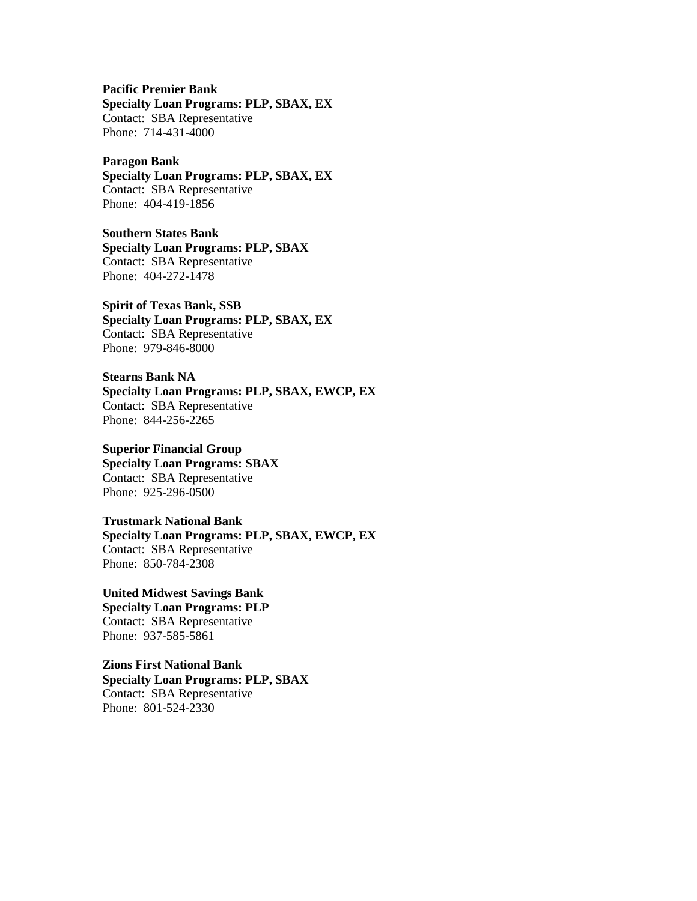**Pacific Premier Bank**

**Specialty Loan Programs: PLP, SBAX, EX** Contact: SBA Representative Phone: 714-431-4000

#### **Paragon Bank**

**Specialty Loan Programs: PLP, SBAX, EX** Contact: SBA Representative Phone: 404-419-1856

**Southern States Bank Specialty Loan Programs: PLP, SBAX** Contact: SBA Representative Phone: 404-272-1478

**Spirit of Texas Bank, SSB Specialty Loan Programs: PLP, SBAX, EX** Contact: SBA Representative Phone: 979-846-8000

**Stearns Bank NA Specialty Loan Programs: PLP, SBAX, EWCP, EX** Contact: SBA Representative Phone: 844-256-2265

**Superior Financial Group Specialty Loan Programs: SBAX** Contact: SBA Representative Phone: 925-296-0500

**Trustmark National Bank Specialty Loan Programs: PLP, SBAX, EWCP, EX** Contact: SBA Representative Phone: 850-784-2308

**United Midwest Savings Bank Specialty Loan Programs: PLP** Contact: SBA Representative Phone: 937-585-5861

**Zions First National Bank Specialty Loan Programs: PLP, SBAX** Contact: SBA Representative Phone: 801-524-2330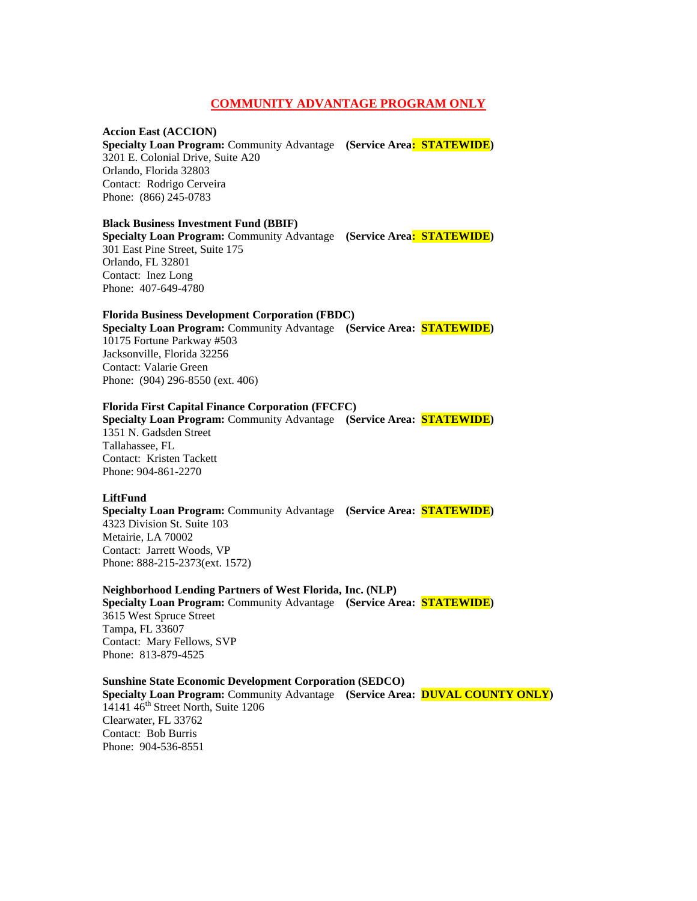### **COMMUNITY ADVANTAGE PROGRAM ONLY**

#### **Accion East (ACCION)**

**Specialty Loan Program:** Community Advantage **(Service Area: STATEWIDE)** 3201 E. Colonial Drive, Suite A20 Orlando, Florida 32803 Contact: Rodrigo Cerveira Phone: (866) 245-0783

#### **Black Business Investment Fund (BBIF)**

**Specialty Loan Program:** Community Advantage **(Service Area: STATEWIDE)** 301 East Pine Street, Suite 175 Orlando, FL 32801 Contact: Inez Long Phone: 407-649-4780

#### **Florida Business Development Corporation (FBDC)**

**Specialty Loan Program:** Community Advantage **(Service Area: STATEWIDE)** 10175 Fortune Parkway #503 Jacksonville, Florida 32256 Contact: Valarie Green Phone: (904) 296-8550 (ext. 406)

### **Florida First Capital Finance Corporation (FFCFC)**

**Specialty Loan Program:** Community Advantage **(Service Area: STATEWIDE)** 1351 N. Gadsden Street Tallahassee, FL Contact: Kristen Tackett Phone: 904-861-2270

#### **LiftFund**

**Specialty Loan Program:** Community Advantage **(Service Area: STATEWIDE)** 4323 Division St. Suite 103 Metairie, LA 70002 Contact: Jarrett Woods, VP Phone: 888-215-2373(ext. 1572)

### **Neighborhood Lending Partners of West Florida, Inc. (NLP) Specialty Loan Program:** Community Advantage **(Service Area: STATEWIDE)** 3615 West Spruce Street Tampa, FL 33607 Contact: Mary Fellows, SVP Phone: 813-879-4525

**Sunshine State Economic Development Corporation (SEDCO) Specialty Loan Program:** Community Advantage **(Service Area: DUVAL COUNTY ONLY)** 14141 46<sup>th</sup> Street North, Suite 1206 Clearwater, FL 33762 Contact: Bob Burris Phone: 904-536-8551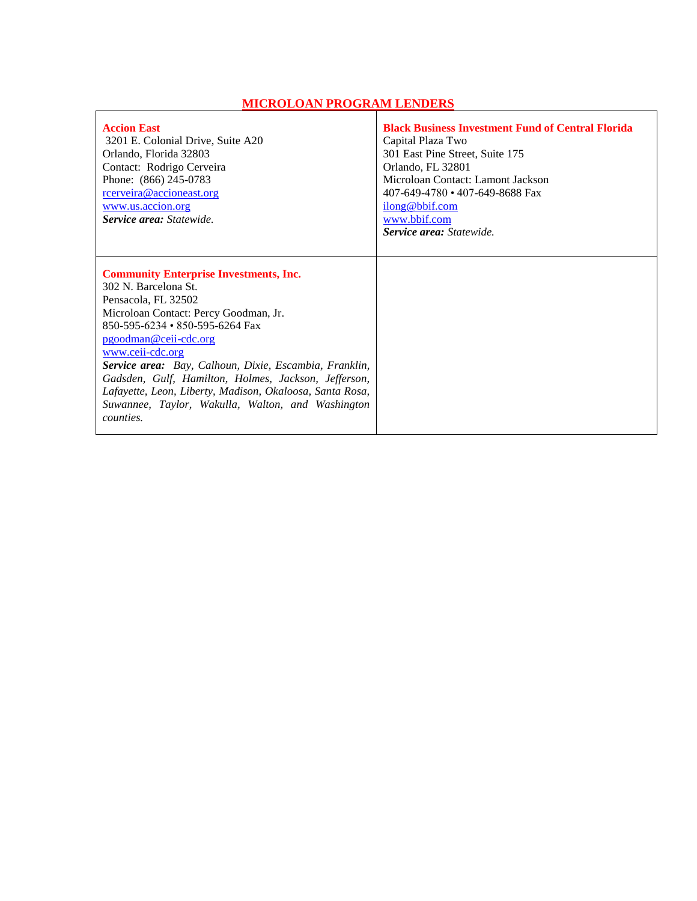# **MICROLOAN PROGRAM LENDERS**

 $\Gamma$ 

| <b>Accion East</b><br>3201 E. Colonial Drive, Suite A20<br>Orlando, Florida 32803<br>Contact: Rodrigo Cerveira<br>Phone: (866) 245-0783<br>rcerveira@accioneast.org<br>www.us.accion.org<br>Service area: Statewide.                                                                                                                                                                                                                                                         | <b>Black Business Investment Fund of Central Florida</b><br>Capital Plaza Two<br>301 East Pine Street, Suite 175<br>Orlando, FL 32801<br>Microloan Contact: Lamont Jackson<br>407-649-4780 • 407-649-8688 Fax<br>ilong@bbif.com<br>www.bbif.com<br><b>Service area:</b> Statewide. |
|------------------------------------------------------------------------------------------------------------------------------------------------------------------------------------------------------------------------------------------------------------------------------------------------------------------------------------------------------------------------------------------------------------------------------------------------------------------------------|------------------------------------------------------------------------------------------------------------------------------------------------------------------------------------------------------------------------------------------------------------------------------------|
| <b>Community Enterprise Investments, Inc.</b><br>302 N. Barcelona St.<br>Pensacola, FL 32502<br>Microloan Contact: Percy Goodman, Jr.<br>850-595-6234 • 850-595-6264 Fax<br>pgoodman@ceii-cdc.org<br>www.ceii-cdc.org<br>Service area: Bay, Calhoun, Dixie, Escambia, Franklin,<br>Gadsden, Gulf, Hamilton, Holmes, Jackson, Jefferson,<br>Lafayette, Leon, Liberty, Madison, Okaloosa, Santa Rosa,<br>Suwannee, Taylor, Wakulla, Walton, and Washington<br><i>counties.</i> |                                                                                                                                                                                                                                                                                    |